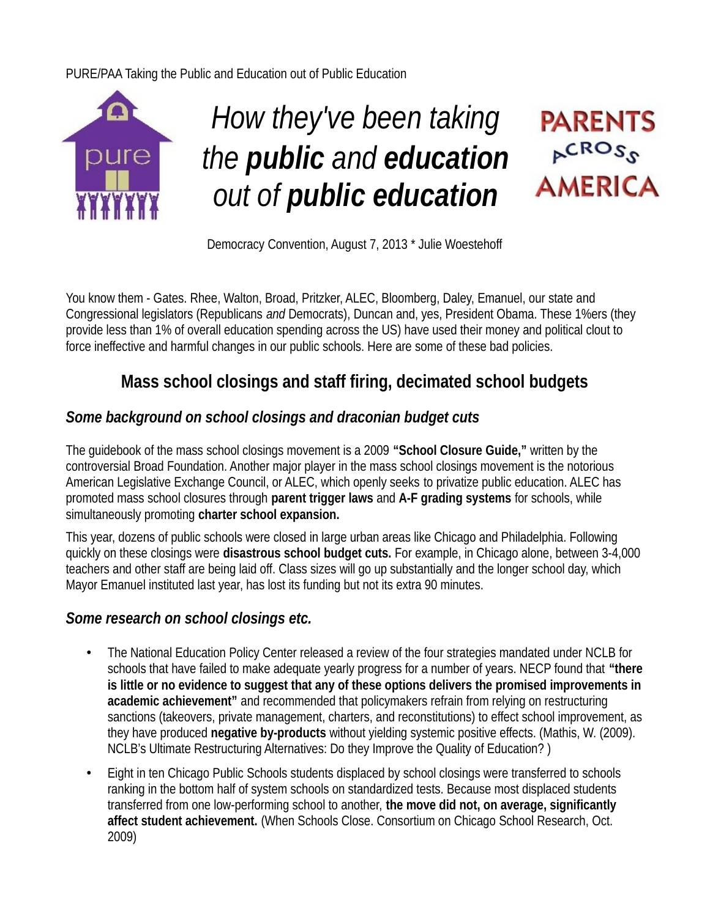PURE/PAA Taking the Public and Education out of Public Education



# *How they've been taking the public and education out of public education*

## **PARENTS**  $R^{CROS_S}$ **AMERICA**

Democracy Convention, August 7, 2013 \* Julie Woestehoff

You know them - Gates. Rhee, Walton, Broad, Pritzker, ALEC, Bloomberg, Daley, Emanuel, our state and Congressional legislators (Republicans *and* Democrats), Duncan and, yes, President Obama. These 1%ers (they provide less than 1% of overall education spending across the US) have used their money and political clout to force ineffective and harmful changes in our public schools. Here are some of these bad policies.

## **Mass school closings and staff firing, decimated school budgets**

## *Some background on school closings and draconian budget cuts*

The guidebook of the mass school closings movement is a 2009 **"School Closure Guide,"** written by the controversial Broad Foundation. Another major player in the mass school closings movement is the notorious American Legislative Exchange Council, or ALEC, which openly seeks to privatize public education. ALEC has promoted mass school closures through **parent trigger laws** and **A-F grading systems** for schools, while simultaneously promoting **charter school expansion.**

This year, dozens of public schools were closed in large urban areas like Chicago and Philadelphia. Following quickly on these closings were **disastrous school budget cuts.** For example, in Chicago alone, between 3-4,000 teachers and other staff are being laid off. Class sizes will go up substantially and the longer school day, which Mayor Emanuel instituted last year, has lost its funding but not its extra 90 minutes.

## *Some research on school closings etc.*

- The National Education Policy Center released a review of the four strategies mandated under NCLB for schools that have failed to make adequate yearly progress for a number of years. NECP found that **"there is little or no evidence to suggest that any of these options delivers the promised improvements in academic achievement"** and recommended that policymakers refrain from relying on restructuring sanctions (takeovers, private management, charters, and reconstitutions) to effect school improvement, as they have produced **negative by-products** without yielding systemic positive effects. (Mathis, W. (2009). NCLB's Ultimate Restructuring Alternatives: Do they Improve the Quality of Education? )
- Eight in ten Chicago Public Schools students displaced by school closings were transferred to schools ranking in the bottom half of system schools on standardized tests. Because most displaced students transferred from one low-performing school to another, **the move did not, on average, significantly affect student achievement.** (When Schools Close. Consortium on Chicago School Research, Oct. 2009)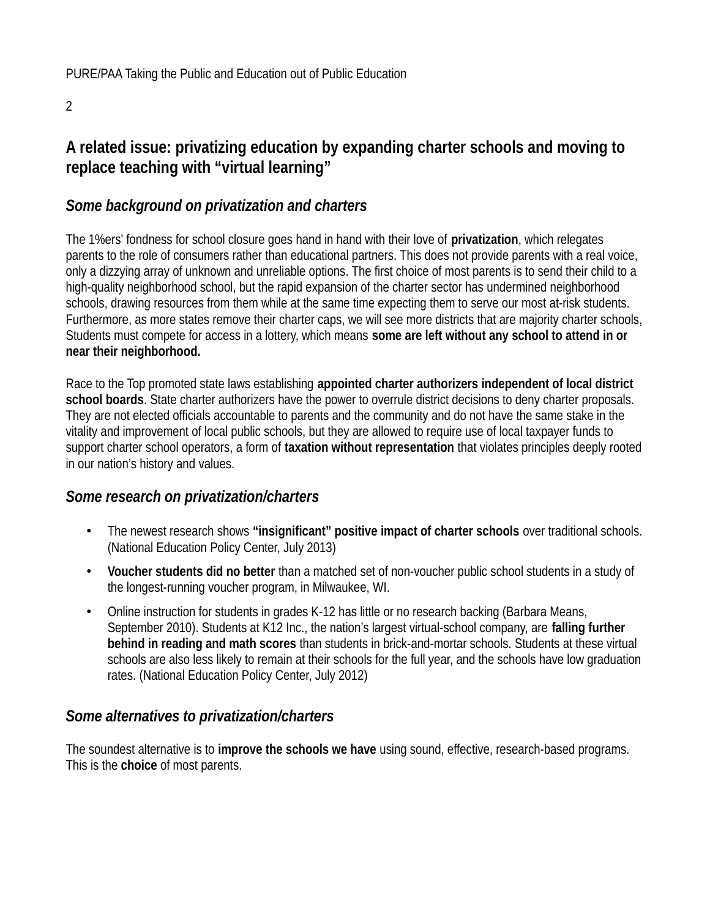#### 2

## **A related issue: privatizing education by expanding charter schools and moving to replace teaching with "virtual learning"**

## *Some background on privatization and charters*

The 1%ers' fondness for school closure goes hand in hand with their love of **privatization**, which relegates parents to the role of consumers rather than educational partners. This does not provide parents with a real voice, only a dizzying array of unknown and unreliable options. The first choice of most parents is to send their child to a high-quality neighborhood school, but the rapid expansion of the charter sector has undermined neighborhood schools, drawing resources from them while at the same time expecting them to serve our most at-risk students. Furthermore, as more states remove their charter caps, we will see more districts that are majority charter schools, Students must compete for access in a lottery, which means **some are left without any school to attend in or near their neighborhood.**

Race to the Top promoted state laws establishing **appointed charter authorizers independent of local district school boards**. State charter authorizers have the power to overrule district decisions to deny charter proposals. They are not elected officials accountable to parents and the community and do not have the same stake in the vitality and improvement of local public schools, but they are allowed to require use of local taxpayer funds to support charter school operators, a form of **taxation without representation** that violates principles deeply rooted in our nation's history and values.

## *Some research on privatization/charters*

- The newest research shows **"insignificant" positive impact of charter schools** over traditional schools. (National Education Policy Center, July 2013)
- **Voucher students did no better** than a matched set of non-voucher public school students in a study of the longest-running voucher program, in Milwaukee, WI.
- Online instruction for students in grades K-12 has little or no research backing (Barbara Means, September 2010). Students at K12 Inc., the nation's largest virtual-school company, are **falling further behind in reading and math scores** than students in brick-and-mortar schools. Students at these virtual schools are also less likely to remain at their schools for the full year, and the schools have low graduation rates. (National Education Policy Center, July 2012)

## *Some alternatives to privatization/charters*

The soundest alternative is to **improve the schools we have** using sound, effective, research-based programs. This is the **choice** of most parents.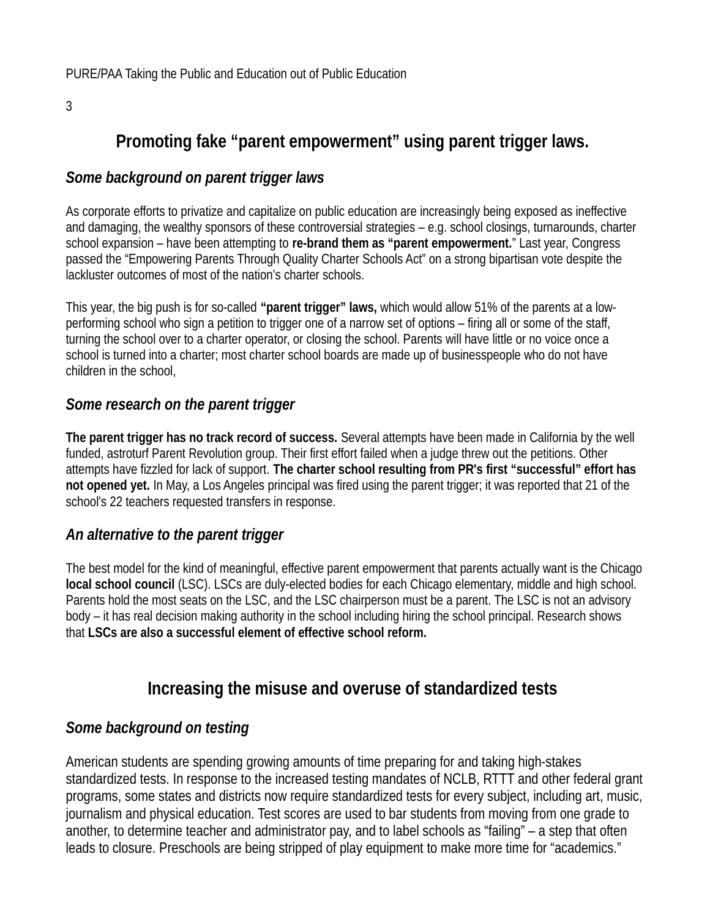3

## **Promoting fake "parent empowerment" using parent trigger laws.**

## *Some background on parent trigger laws*

As corporate efforts to privatize and capitalize on public education are increasingly being exposed as ineffective and damaging, the wealthy sponsors of these controversial strategies – e.g. school closings, turnarounds, charter school expansion – have been attempting to **re-brand them as "parent empowerment.**" Last year, Congress passed the "Empowering Parents Through Quality Charter Schools Act" on a strong bipartisan vote despite the lackluster outcomes of most of the nation's charter schools.

This year, the big push is for so-called **"parent trigger" laws,** which would allow 51% of the parents at a lowperforming school who sign a petition to trigger one of a narrow set of options – firing all or some of the staff, turning the school over to a charter operator, or closing the school. Parents will have little or no voice once a school is turned into a charter; most charter school boards are made up of businesspeople who do not have children in the school,

## *Some research on the parent trigger*

**The parent trigger has no track record of success.** Several attempts have been made in California by the well funded, astroturf Parent Revolution group. Their first effort failed when a judge threw out the petitions. Other attempts have fizzled for lack of support. **The charter school resulting from PR's first "successful" effort has not opened yet.** In May, a Los Angeles principal was fired using the parent trigger; it was reported that 21 of the school's 22 teachers requested transfers in response.

## *An alternative to the parent trigger*

The best model for the kind of meaningful, effective parent empowerment that parents actually want is the Chicago **local school council** (LSC). LSCs are duly-elected bodies for each Chicago elementary, middle and high school. Parents hold the most seats on the LSC, and the LSC chairperson must be a parent. The LSC is not an advisory body – it has real decision making authority in the school including hiring the school principal. Research shows that **LSCs are also a successful element of effective school reform.**

## **Increasing the misuse and overuse of standardized tests**

## *Some background on testing*

American students are spending growing amounts of time preparing for and taking high-stakes standardized tests. In response to the increased testing mandates of NCLB, RTTT and other federal grant programs, some states and districts now require standardized tests for every subject, including art, music, journalism and physical education. Test scores are used to bar students from moving from one grade to another, to determine teacher and administrator pay, and to label schools as "failing" – a step that often leads to closure. Preschools are being stripped of play equipment to make more time for "academics."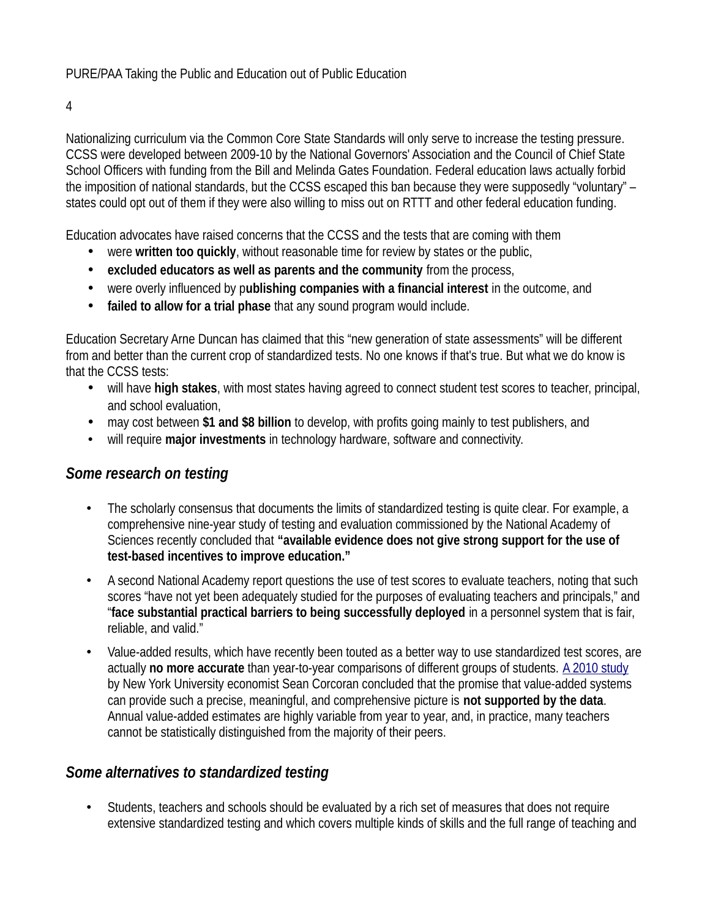PURE/PAA Taking the Public and Education out of Public Education

4

Nationalizing curriculum via the Common Core State Standards will only serve to increase the testing pressure. CCSS were developed between 2009-10 by the National Governors' Association and the Council of Chief State School Officers with funding from the Bill and Melinda Gates Foundation. Federal education laws actually forbid the imposition of national standards, but the CCSS escaped this ban because they were supposedly "voluntary" – states could opt out of them if they were also willing to miss out on RTTT and other federal education funding.

Education advocates have raised concerns that the CCSS and the tests that are coming with them

- were **written too quickly**, without reasonable time for review by states or the public,
- **excluded educators as well as parents and the community** from the process,
- were overly influenced by p**ublishing companies with a financial interest** in the outcome, and
- **failed to allow for a trial phase** that any sound program would include.

Education Secretary Arne Duncan has claimed that this "new generation of state assessments" will be different from and better than the current crop of standardized tests. No one knows if that's true. But what we do know is that the CCSS tests:

- will have **high stakes**, with most states having agreed to connect student test scores to teacher, principal, and school evaluation,
- may cost between **\$1 and \$8 billion** to develop, with profits going mainly to test publishers, and
- will require **major investments** in technology hardware, software and connectivity.

## *Some research on testing*

- The scholarly consensus that documents the limits of standardized testing is quite clear. For example, a comprehensive nine-year study of testing and evaluation commissioned by the National Academy of Sciences recently concluded that **"available evidence does not give strong support for the use of test-based incentives to improve education."**
- A second National Academy report questions the use of test scores to evaluate teachers, noting that such scores "have not yet been adequately studied for the purposes of evaluating teachers and principals," and "**face substantial practical barriers to being successfully deployed** in a personnel system that is fair, reliable, and valid."
- Value-added results, which have recently been touted as a better way to use standardized test scores, are actually **no more accurate** than year-to-year comparisons of different groups of students. [A 2010 study](http://www.annenberginstitute.org/products/Corcoran.php) by New York University economist Sean Corcoran concluded that the promise that value-added systems can provide such a precise, meaningful, and comprehensive picture is **not supported by the data**. Annual value-added estimates are highly variable from year to year, and, in practice, many teachers cannot be statistically distinguished from the majority of their peers.

## *Some alternatives to standardized testing*

• Students, teachers and schools should be evaluated by a rich set of measures that does not require extensive standardized testing and which covers multiple kinds of skills and the full range of teaching and